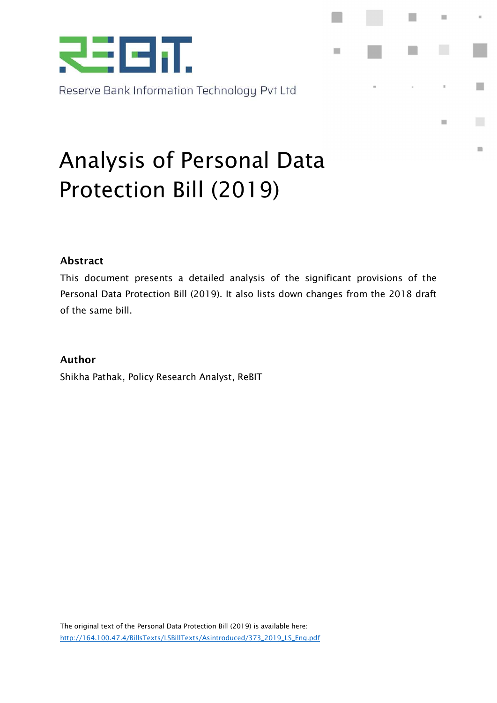

Reserve Bank Information Technology Pvt Ltd

# Analysis of Personal Data Protection Bill (2019)

#### Abstract

This document presents a detailed analysis of the significant provisions of the Personal Data Protection Bill (2019). It also lists down changes from the 2018 draft of the same bill.

 $\mathbf{m}$ 

 $\blacksquare$ 

 $\mathbf{m}$ 

n.

 $\begin{array}{c} \hline \end{array}$ 

#### Author

Shikha Pathak, Policy Research Analyst, ReBIT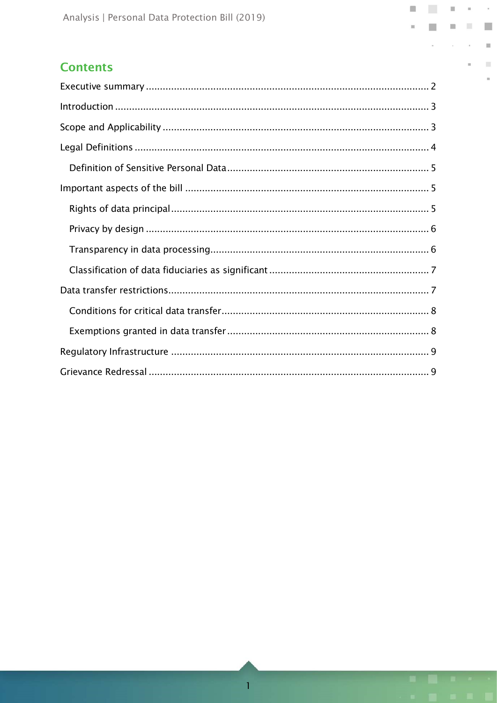#### **Contents**

 $\kappa$ 

 $\mathcal{L}_{\mathcal{A}}$ 

 $\equiv$ 

 $\mathbb{R}^d$ 

 $_{\rm m}$ 

 $\blacksquare$  $\Box$ 

 $\mathbf{m}$ 

 $\Box$  $\bar{n}$ 

 $\bar{\nu}$  $\alpha$ 

O

 $\sim$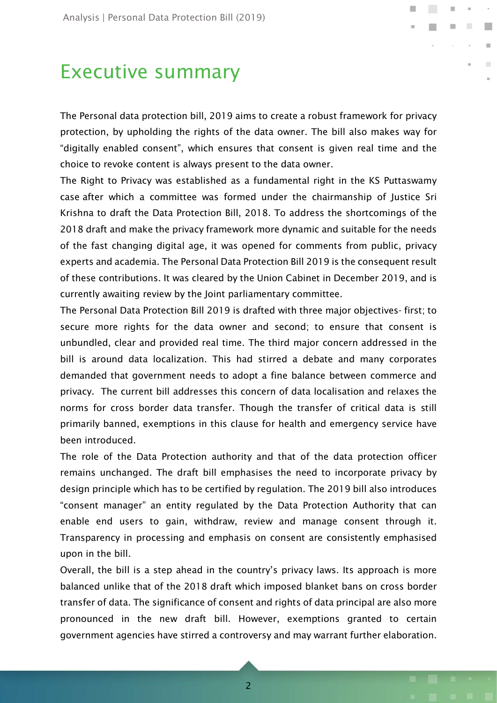### Executive summary

The Personal data protection bill, 2019 aims to create a robust framework for privacy protection, by upholding the rights of the data owner. The bill also makes way for "digitally enabled consent", which ensures that consent is given real time and the choice to revoke content is always present to the data owner.

**COL** 

 $\mathcal{L}^{\mathcal{L}}$ 

The Right to Privacy was established as a fundamental right in the KS Puttaswamy case after which a committee was formed under the chairmanship of Justice Sri Krishna to draft the Data Protection Bill, 2018. To address the shortcomings of the 2018 draft and make the privacy framework more dynamic and suitable for the needs of the fast changing digital age, it was opened for comments from public, privacy experts and academia. The Personal Data Protection Bill 2019 is the consequent result of these contributions. It was cleared by the Union Cabinet in December 2019, and is currently awaiting review by the Joint parliamentary committee.

The Personal Data Protection Bill 2019 is drafted with three major objectives- first; to secure more rights for the data owner and second; to ensure that consent is unbundled, clear and provided real time. The third major concern addressed in the bill is around data localization. This had stirred a debate and many corporates demanded that government needs to adopt a fine balance between commerce and privacy. The current bill addresses this concern of data localisation and relaxes the norms for cross border data transfer. Though the transfer of critical data is still primarily banned, exemptions in this clause for health and emergency service have been introduced.

The role of the Data Protection authority and that of the data protection officer remains unchanged. The draft bill emphasises the need to incorporate privacy by design principle which has to be certified by regulation. The 2019 bill also introduces "consent manager" an entity regulated by the Data Protection Authority that can enable end users to gain, withdraw, review and manage consent through it. Transparency in processing and emphasis on consent are consistently emphasised upon in the bill.

Overall, the bill is a step ahead in the country's privacy laws. Its approach is more balanced unlike that of the 2018 draft which imposed blanket bans on cross border transfer of data. The significance of consent and rights of data principal are also more pronounced in the new draft bill. However, exemptions granted to certain government agencies have stirred a controversy and may warrant further elaboration.

<u>2</u>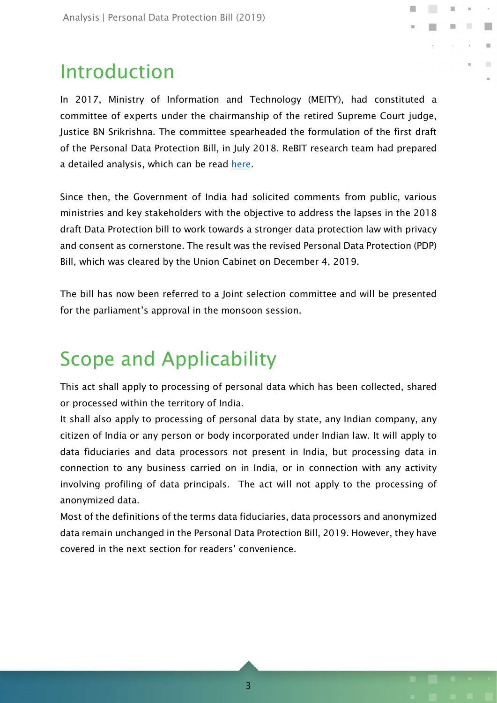## Introduction

In 2017, Ministry of Information and Technology (MEITY), had constituted a committee of experts under the chairmanship of the retired Supreme Court judge, Justice BN Srikrishna. The committee spearheaded the formulation of the first draft of the Personal Data Protection Bill, in July 2018. ReBIT research team had prepared a detailed analysis, which can be read here.

Since then, the Government of India had solicited comments from public, various ministries and key stakeholders with the objective to address the lapses in the 2018 draft Data Protection bill to work towards a stronger data protection law with privacy and consent as cornerstone. The result was the revised Personal Data Protection (PDP) Bill, which was cleared by the Union Cabinet on December 4, 2019.

The bill has now been referred to a Joint selection committee and will be presented for the parliament's approval in the monsoon session.

## Scope and Applicability

This act shall apply to processing of personal data which has been collected, shared or processed within the territory of India.

It shall also apply to processing of personal data by state, any Indian company, any citizen of India or any person or body incorporated under Indian law. It will apply to data fiduciaries and data processors not present in India, but processing data in connection to any business carried on in India, or in connection with any activity involving profiling of data principals. The act will not apply to the processing of anonymized data.

Most of the definitions of the terms data fiduciaries, data processors and anonymized data remain unchanged in the Personal Data Protection Bill, 2019. However, they have covered in the next section for readers' convenience.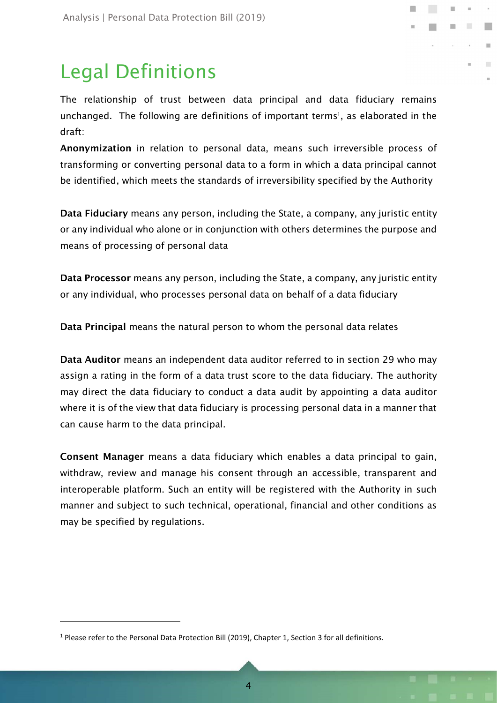## Legal Definitions

The relationship of trust between data principal and data fiduciary remains unchanged. The following are definitions of important terms<sup>1</sup>, as elaborated in the draft:

**Talling** 

m.

 $\mathcal{L}$ 

Anonymization in relation to personal data, means such irreversible process of transforming or converting personal data to a form in which a data principal cannot be identified, which meets the standards of irreversibility specified by the Authority

Data Fiduciary means any person, including the State, a company, any juristic entity or any individual who alone or in conjunction with others determines the purpose and means of processing of personal data

Data Processor means any person, including the State, a company, any juristic entity or any individual, who processes personal data on behalf of a data fiduciary

Data Principal means the natural person to whom the personal data relates

Data Auditor means an independent data auditor referred to in section 29 who may assign a rating in the form of a data trust score to the data fiduciary. The authority may direct the data fiduciary to conduct a data audit by appointing a data auditor where it is of the view that data fiduciary is processing personal data in a manner that can cause harm to the data principal.

Consent Manager means a data fiduciary which enables a data principal to gain, withdraw, review and manage his consent through an accessible, transparent and interoperable platform. Such an entity will be registered with the Authority in such manner and subject to such technical, operational, financial and other conditions as may be specified by regulations.

j.

<sup>&</sup>lt;sup>1</sup> Please refer to the Personal Data Protection Bill (2019), Chapter 1, Section 3 for all definitions.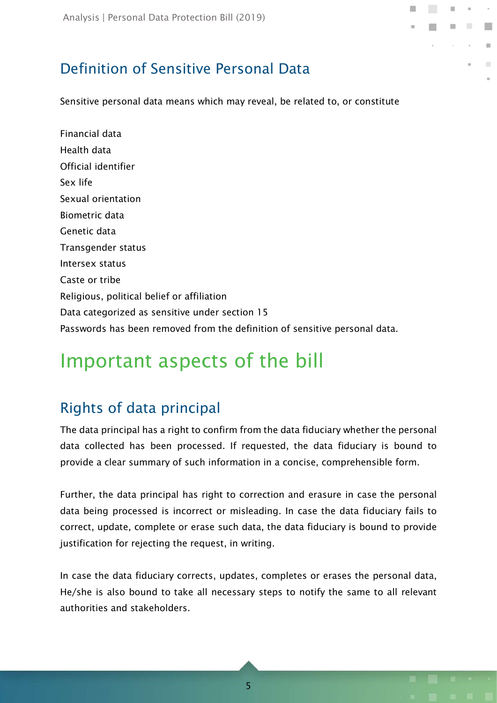### Definition of Sensitive Personal Data

Sensitive personal data means which may reveal, be related to, or constitute

**Tall** 

Financial data Health data Official identifier Sex life Sexual orientation Biometric data Genetic data Transgender status Intersex status Caste or tribe Religious, political belief or affiliation Data categorized as sensitive under section 15 Passwords has been removed from the definition of sensitive personal data.

## Important aspects of the bill

### Rights of data principal

The data principal has a right to confirm from the data fiduciary whether the personal data collected has been processed. If requested, the data fiduciary is bound to provide a clear summary of such information in a concise, comprehensible form.

Further, the data principal has right to correction and erasure in case the personal data being processed is incorrect or misleading. In case the data fiduciary fails to correct, update, complete or erase such data, the data fiduciary is bound to provide justification for rejecting the request, in writing.

In case the data fiduciary corrects, updates, completes or erases the personal data, He/she is also bound to take all necessary steps to notify the same to all relevant authorities and stakeholders.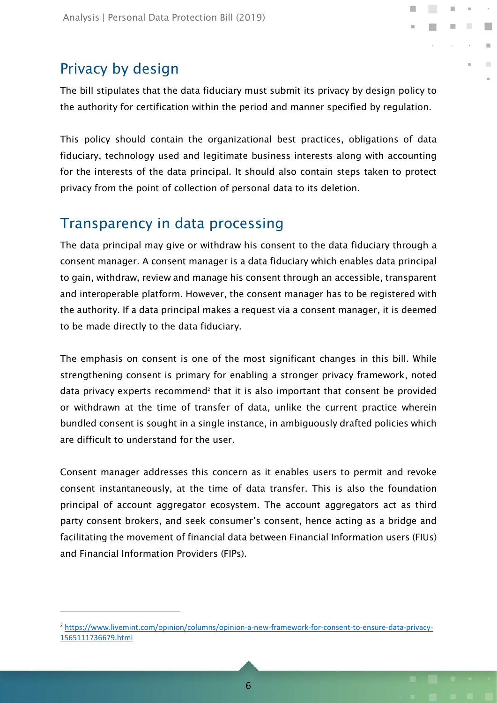### Privacy by design

j.

The bill stipulates that the data fiduciary must submit its privacy by design policy to the authority for certification within the period and manner specified by regulation.

**Tall** 

m.

This policy should contain the organizational best practices, obligations of data fiduciary, technology used and legitimate business interests along with accounting for the interests of the data principal. It should also contain steps taken to protect privacy from the point of collection of personal data to its deletion.

### Transparency in data processing

The data principal may give or withdraw his consent to the data fiduciary through a consent manager. A consent manager is a data fiduciary which enables data principal to gain, withdraw, review and manage his consent through an accessible, transparent and interoperable platform. However, the consent manager has to be registered with the authority. If a data principal makes a request via a consent manager, it is deemed to be made directly to the data fiduciary.

The emphasis on consent is one of the most significant changes in this bill. While strengthening consent is primary for enabling a stronger privacy framework, noted data privacy experts recommend<sup>2</sup> that it is also important that consent be provided or withdrawn at the time of transfer of data, unlike the current practice wherein bundled consent is sought in a single instance, in ambiguously drafted policies which are difficult to understand for the user.

Consent manager addresses this concern as it enables users to permit and revoke consent instantaneously, at the time of data transfer. This is also the foundation principal of account aggregator ecosystem. The account aggregators act as third party consent brokers, and seek consumer's consent, hence acting as a bridge and facilitating the movement of financial data between Financial Information users (FIUs) and Financial Information Providers (FIPs).

<sup>2</sup> https://www.livemint.com/opinion/columns/opinion-a-new-framework-for-consent-to-ensure-data-privacy-1565111736679.html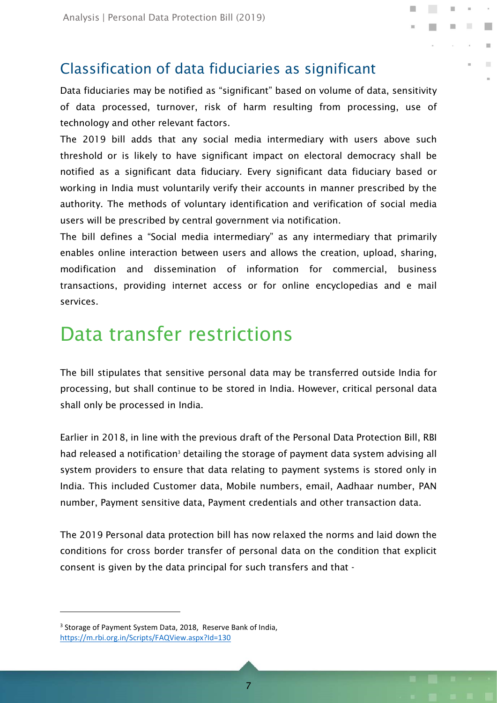#### Classification of data fiduciaries as significant

Data fiduciaries may be notified as "significant" based on volume of data, sensitivity of data processed, turnover, risk of harm resulting from processing, use of technology and other relevant factors.

**Talling** 

m.

 $\mathcal{L}$ 

The 2019 bill adds that any social media intermediary with users above such threshold or is likely to have significant impact on electoral democracy shall be notified as a significant data fiduciary. Every significant data fiduciary based or working in India must voluntarily verify their accounts in manner prescribed by the authority. The methods of voluntary identification and verification of social media users will be prescribed by central government via notification.

The bill defines a "Social media intermediary" as any intermediary that primarily enables online interaction between users and allows the creation, upload, sharing, modification and dissemination of information for commercial, business transactions, providing internet access or for online encyclopedias and e mail services.

### Data transfer restrictions

The bill stipulates that sensitive personal data may be transferred outside India for processing, but shall continue to be stored in India. However, critical personal data shall only be processed in India.

Earlier in 2018, in line with the previous draft of the Personal Data Protection Bill, RBI had released a notification<sup>3</sup> detailing the storage of payment data system advising all system providers to ensure that data relating to payment systems is stored only in India. This included Customer data, Mobile numbers, email, Aadhaar number, PAN number, Payment sensitive data, Payment credentials and other transaction data.

The 2019 Personal data protection bill has now relaxed the norms and laid down the conditions for cross border transfer of personal data on the condition that explicit consent is given by the data principal for such transfers and that -

<sup>3</sup> Storage of Payment System Data, 2018, Reserve Bank of India, https://m.rbi.org.in/Scripts/FAQView.aspx?Id=130

j.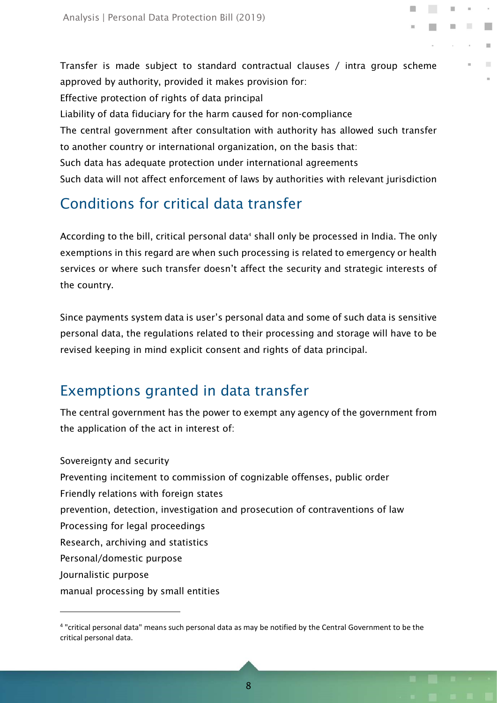Transfer is made subject to standard contractual clauses / intra group scheme approved by authority, provided it makes provision for: Effective protection of rights of data principal Liability of data fiduciary for the harm caused for non-compliance The central government after consultation with authority has allowed such transfer to another country or international organization, on the basis that: Such data has adequate protection under international agreements Such data will not affect enforcement of laws by authorities with relevant jurisdiction **COL** 

 $\equiv$ 

 $\sim$ 

### Conditions for critical data transfer

According to the bill, critical personal data<sup>4</sup> shall only be processed in India. The only exemptions in this regard are when such processing is related to emergency or health services or where such transfer doesn't affect the security and strategic interests of the country.

Since payments system data is user's personal data and some of such data is sensitive personal data, the regulations related to their processing and storage will have to be revised keeping in mind explicit consent and rights of data principal.

### Exemptions granted in data transfer

j.

The central government has the power to exempt any agency of the government from the application of the act in interest of:

Sovereignty and security Preventing incitement to commission of cognizable offenses, public order Friendly relations with foreign states prevention, detection, investigation and prosecution of contraventions of law Processing for legal proceedings Research, archiving and statistics Personal/domestic purpose Journalistic purpose manual processing by small entities

<sup>4</sup> "critical personal data" means such personal data as may be notified by the Central Government to be the critical personal data.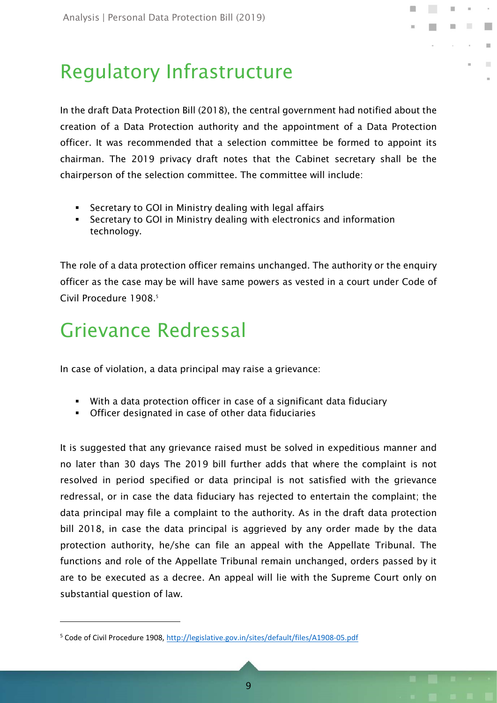## Regulatory Infrastructure

In the draft Data Protection Bill (2018), the central government had notified about the creation of a Data Protection authority and the appointment of a Data Protection officer. It was recommended that a selection committee be formed to appoint its chairman. The 2019 privacy draft notes that the Cabinet secretary shall be the chairperson of the selection committee. The committee will include:

**Tall** 

m.

 $\mathcal{L}_{\mathcal{A}}$ 

- Secretary to GOI in Ministry dealing with legal affairs
- Secretary to GOI in Ministry dealing with electronics and information technology.

The role of a data protection officer remains unchanged. The authority or the enquiry officer as the case may be will have same powers as vested in a court under Code of Civil Procedure 1908.<sup>5</sup>

## Grievance Redressal

j.

In case of violation, a data principal may raise a grievance:

- With a data protection officer in case of a significant data fiduciary
- Officer designated in case of other data fiduciaries

It is suggested that any grievance raised must be solved in expeditious manner and no later than 30 days The 2019 bill further adds that where the complaint is not resolved in period specified or data principal is not satisfied with the grievance redressal, or in case the data fiduciary has rejected to entertain the complaint; the data principal may file a complaint to the authority. As in the draft data protection bill 2018, in case the data principal is aggrieved by any order made by the data protection authority, he/she can file an appeal with the Appellate Tribunal. The functions and role of the Appellate Tribunal remain unchanged, orders passed by it are to be executed as a decree. An appeal will lie with the Supreme Court only on substantial question of law.

<sup>&</sup>lt;sup>5</sup> Code of Civil Procedure 1908, http://legislative.gov.in/sites/default/files/A1908-05.pdf